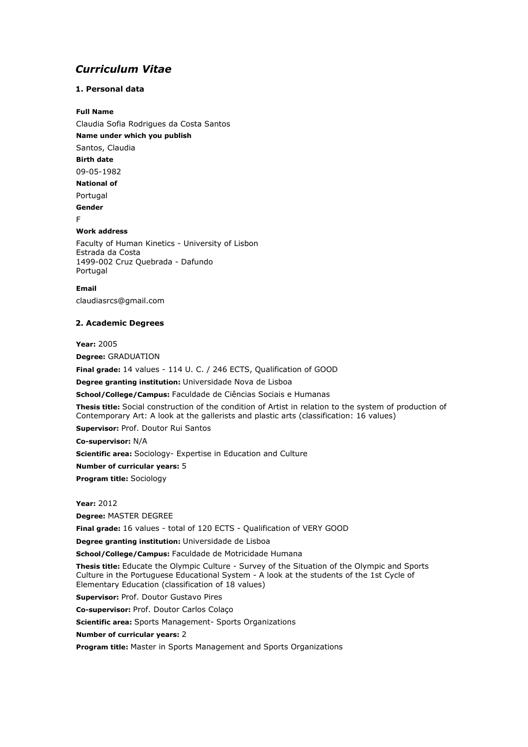# *Curriculum Vitae*

# **1. Personal data**

### **Full Name**

Claudia Sofia Rodrigues da Costa Santos **Name under which you publish** Santos, Claudia **Birth date** 09-05-1982 **National of** Portugal **Gender**

F

# **Work address**

Faculty of Human Kinetics - University of Lisbon Estrada da Costa 1499-002 Cruz Quebrada - Dafundo Portugal

**Email**

claudiasrcs@gmail.com

#### **2. Academic Degrees**

**Year:** 2005

**Degree:** GRADUATION

**Final grade:** 14 values - 114 U. C. / 246 ECTS, Qualification of GOOD

**Degree granting institution:** Universidade Nova de Lisboa

**School/College/Campus:** Faculdade de Ciências Sociais e Humanas

**Thesis title:** Social construction of the condition of Artist in relation to the system of production of Contemporary Art: A look at the gallerists and plastic arts (classification: 16 values)

**Supervisor:** Prof. Doutor Rui Santos

**Co-supervisor:** N/A

**Scientific area:** Sociology- Expertise in Education and Culture

**Number of curricular years:** 5

**Program title:** Sociology

**Year:** 2012

**Degree:** MASTER DEGREE

**Final grade:** 16 values - total of 120 ECTS - Qualification of VERY GOOD

**Degree granting institution:** Universidade de Lisboa

**School/College/Campus:** Faculdade de Motricidade Humana

**Thesis title:** Educate the Olympic Culture - Survey of the Situation of the Olympic and Sports Culture in the Portuguese Educational System - A look at the students of the 1st Cycle of Elementary Education (classification of 18 values)

**Supervisor:** Prof. Doutor Gustavo Pires

**Co-supervisor:** Prof. Doutor Carlos Colaço

**Scientific area:** Sports Management- Sports Organizations

**Number of curricular years:** 2

**Program title:** Master in Sports Management and Sports Organizations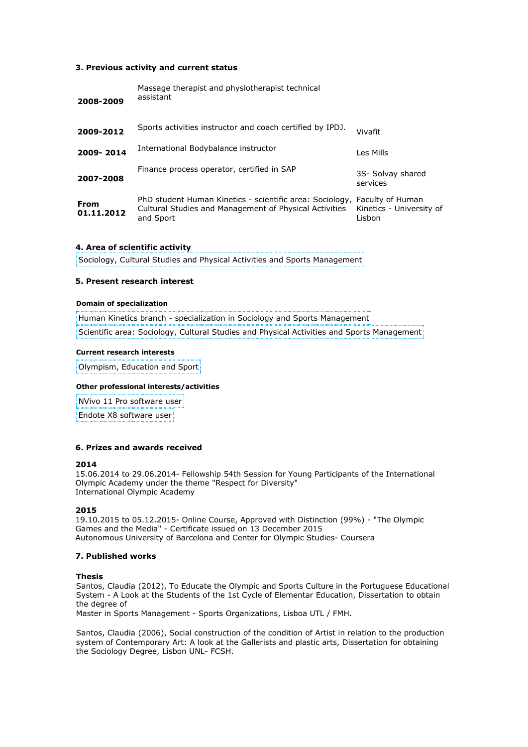### **3. Previous activity and current status**

| 2008-2009          | Massage therapist and physiotherapist technical<br>assistant                                                                                     |                                    |
|--------------------|--------------------------------------------------------------------------------------------------------------------------------------------------|------------------------------------|
| 2009-2012          | Sports activities instructor and coach certified by IPDJ.                                                                                        | Vivafit                            |
| 2009-2014          | International Bodybalance instructor                                                                                                             | Les Mills                          |
| 2007-2008          | Finance process operator, certified in SAP                                                                                                       | 3S- Solvay shared<br>services      |
| From<br>01.11.2012 | PhD student Human Kinetics - scientific area: Sociology, Faculty of Human<br>Cultural Studies and Management of Physical Activities<br>and Sport | Kinetics - University of<br>Lisbon |

# **4. Area of scientific activity**

Sociology, Cultural Studies and Physical Activities and Sports Management

#### **5. Present research interest**

#### **Domain of specialization**

Human Kinetics branch - specialization in Sociology and Sports Management Scientific area: Sociology, Cultural Studies and Physical Activities and Sports Management

#### **Current research interests**

Olympism, Education and Sport

#### **Other professional interests/activities**

NVivo 11 Pro software user

Endote X8 software user

### **6. Prizes and awards received**

#### **2014**

15.06.2014 to 29.06.2014- Fellowship 54th Session for Young Participants of the International Olympic Academy under the theme "Respect for Diversity" International Olympic Academy

# **2015**

19.10.2015 to 05.12.2015- Online Course, Approved with Distinction (99%) - "The Olympic Games and the Media" - Certificate issued on 13 December 2015 Autonomous University of Barcelona and Center for Olympic Studies- Coursera

### **7. Published works**

#### **Thesis**

Santos, Claudia (2012), To Educate the Olympic and Sports Culture in the Portuguese Educational System - A Look at the Students of the 1st Cycle of Elementar Education, Dissertation to obtain the degree of

Master in Sports Management - Sports Organizations, Lisboa UTL / FMH.

Santos, Claudia (2006), Social construction of the condition of Artist in relation to the production system of Contemporary Art: A look at the Gallerists and plastic arts, Dissertation for obtaining the Sociology Degree, Lisbon UNL- FCSH.